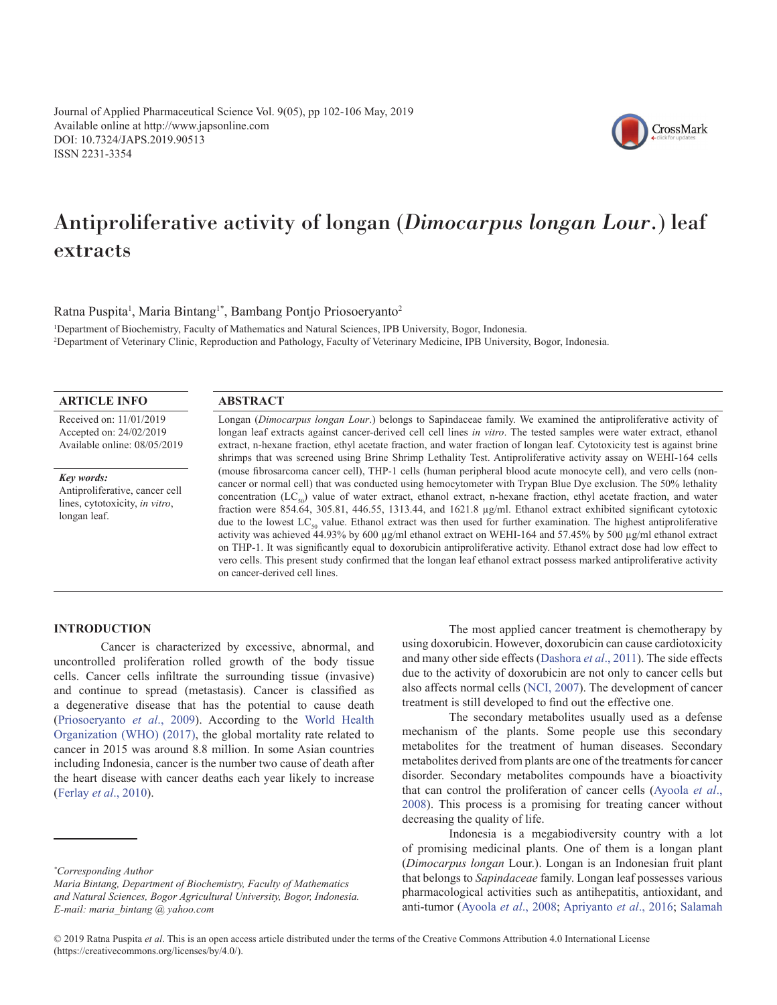Journal of Applied Pharmaceutical Science Vol. 9(05), pp 102-106 May, 2019 Available online at http://www.japsonline.com DOI: 10.7324/JAPS.2019.90513 ISSN 2231-3354



# Antiproliferative activity of longan (*Dimocarpus longan Lour*.) leaf extracts

Ratna Puspita<sup>1</sup>, Maria Bintang<sup>1\*</sup>, Bambang Pontjo Priosoeryanto<sup>2</sup>

1 Department of Biochemistry, Faculty of Mathematics and Natural Sciences, IPB University, Bogor, Indonesia. 2 Department of Veterinary Clinic, Reproduction and Pathology, Faculty of Veterinary Medicine, IPB University, Bogor, Indonesia.

## **ARTICLE INFO**

Received on: 11/01/2019 Accepted on: 24/02/2019 Available online: 08/05/2019

*Key words:* Antiproliferative, cancer cell lines, cytotoxicity, *in vitro*, longan leaf.

#### **ABSTRACT**

Longan (*Dimocarpus longan Lour*.) belongs to Sapindaceae family. We examined the antiproliferative activity of longan leaf extracts against cancer-derived cell cell lines *in vitro*. The tested samples were water extract, ethanol extract, n-hexane fraction, ethyl acetate fraction, and water fraction of longan leaf. Cytotoxicity test is against brine shrimps that was screened using Brine Shrimp Lethality Test. Antiproliferative activity assay on WEHI-164 cells (mouse fibrosarcoma cancer cell), THP-1 cells (human peripheral blood acute monocyte cell), and vero cells (noncancer or normal cell) that was conducted using hemocytometer with Trypan Blue Dye exclusion. The 50% lethality concentration (LC<sub>50</sub>) value of water extract, ethanol extract, n-hexane fraction, ethyl acetate fraction, and water fraction were 854.64, 305.81, 446.55, 1313.44, and 1621.8 µg/ml. Ethanol extract exhibited significant cytotoxic due to the lowest  $LC_{50}$  value. Ethanol extract was then used for further examination. The highest antiproliferative activity was achieved 44.93% by 600 µg/ml ethanol extract on WEHI-164 and 57.45% by 500 µg/ml ethanol extract on THP-1. It was significantly equal to doxorubicin antiproliferative activity. Ethanol extract dose had low effect to vero cells. This present study confirmed that the longan leaf ethanol extract possess marked antiproliferative activity on cancer-derived cell lines.

# **INTRODUCTION**

Cancer is characterized by excessive, abnormal, and uncontrolled proliferation rolled growth of the body tissue cells. Cancer cells infiltrate the surrounding tissue (invasive) and continue to spread (metastasis). Cancer is classified as a degenerative disease that has the potential to cause death ([Priosoeryanto](#page-3-0) *et al*., 2009). According to the [World Health](#page-4-0) [Organization \(WHO\) \(2017\),](#page-4-0) the global mortality rate related to cancer in 2015 was around 8.8 million. In some Asian countries including Indonesia, cancer is the number two cause of death after the heart disease with cancer deaths each year likely to increase ([Ferlay](#page-3-0) *et al*., 2010).

The most applied cancer treatment is chemotherapy by using doxorubicin. However, doxorubicin can cause cardiotoxicity and many other side effects [\(Dashora](#page-3-0) *et al*., 2011). The side effects due to the activity of doxorubicin are not only to cancer cells but also affects normal cells ([NCI, 2007\)](#page-3-0). The development of cancer treatment is still developed to find out the effective one.

The secondary metabolites usually used as a defense mechanism of the plants. Some people use this secondary metabolites for the treatment of human diseases. Secondary metabolites derived from plants are one of the treatments for cancer disorder. Secondary metabolites compounds have a bioactivity that can control the proliferation of cancer cells [\(Ayoola](#page-3-0) *et al*., [2008](#page-3-0)). This process is a promising for treating cancer without decreasing the quality of life.

Indonesia is a megabiodiversity country with a lot of promising medicinal plants. One of them is a longan plant (*Dimocarpus longan* Lour.). Longan is an Indonesian fruit plant that belongs to *Sapindaceae* family. Longan leaf possesses various pharmacological activities such as antihepatitis, antioxidant, and anti-tumor ([Ayoola](#page-3-0) *et al*., 2008; [Apriyanto](#page-3-0) *et al*., 2016; [Salamah](#page-3-0) 

*<sup>\*</sup> Corresponding Author*

*Maria Bintang, Department of Biochemistry, Faculty of Mathematics and Natural Sciences, Bogor Agricultural University, Bogor, Indonesia. E-mail: maria\_bintang @ yahoo.com*

<sup>© 2019</sup> Ratna Puspita *et al*. This is an open access article distributed under the terms of the Creative Commons Attribution 4.0 International License (https://creativecommons.org/licenses/by/4.0/).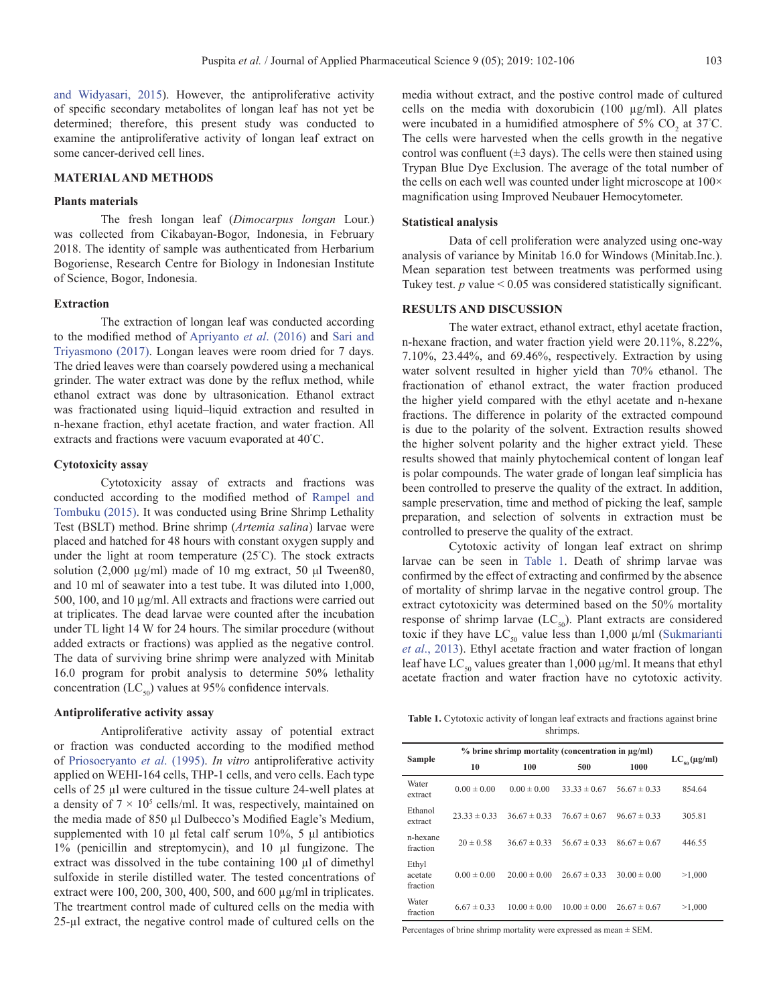[and Widyasari, 2015\)](#page-3-0). However, the antiproliferative activity of specific secondary metabolites of longan leaf has not yet be determined; therefore, this present study was conducted to examine the antiproliferative activity of longan leaf extract on some cancer-derived cell lines.

#### **MATERIAL AND METHODS**

#### **Plants materials**

The fresh longan leaf (*Dimocarpus longan* Lour.) was collected from Cikabayan-Bogor, Indonesia, in February 2018. The identity of sample was authenticated from Herbarium Bogoriense, Research Centre for Biology in Indonesian Institute of Science, Bogor, Indonesia.

#### **Extraction**

The extraction of longan leaf was conducted according to the modified method of [Apriyanto](#page-3-0) *et al*. (2016) and [Sari and](#page-3-0) [Triyasmono \(2017\).](#page-3-0) Longan leaves were room dried for 7 days. The dried leaves were than coarsely powdered using a mechanical grinder. The water extract was done by the reflux method, while ethanol extract was done by ultrasonication. Ethanol extract was fractionated using liquid–liquid extraction and resulted in n-hexane fraction, ethyl acetate fraction, and water fraction. All extracts and fractions were vacuum evaporated at 40° C.

#### **Cytotoxicity assay**

Cytotoxicity assay of extracts and fractions was conducted according to the modified method of [Rampel and](#page-3-0) [Tombuku \(2015\).](#page-3-0) It was conducted using Brine Shrimp Lethality Test (BSLT) method. Brine shrimp (*Artemia salina*) larvae were placed and hatched for 48 hours with constant oxygen supply and under the light at room temperature (25° C). The stock extracts solution (2,000 µg/ml) made of 10 mg extract, 50 μl Tween80, and 10 ml of seawater into a test tube. It was diluted into 1,000, 500, 100, and 10 µg/ml. All extracts and fractions were carried out at triplicates. The dead larvae were counted after the incubation under TL light 14 W for 24 hours. The similar procedure (without added extracts or fractions) was applied as the negative control. The data of surviving brine shrimp were analyzed with Minitab 16.0 program for probit analysis to determine 50% lethality concentration (LC $_{50}$ ) values at 95% confidence intervals.

#### **Antiproliferative activity assay**

Antiproliferative activity assay of potential extract or fraction was conducted according to the modified method of [Priosoeryanto](#page-3-0) *et al*. (1995). *In vitro* antiproliferative activity applied on WEHI-164 cells, THP-1 cells, and vero cells. Each type cells of 25 µl were cultured in the tissue culture 24-well plates at a density of  $7 \times 10^5$  cells/ml. It was, respectively, maintained on the media made of 850 µl Dulbecco's Modified Eagle's Medium, supplemented with 10 μl fetal calf serum 10%, 5 μl antibiotics 1% (penicillin and streptomycin), and 10 µl fungizone. The extract was dissolved in the tube containing 100 µl of dimethyl sulfoxide in sterile distilled water. The tested concentrations of extract were 100, 200, 300, 400, 500, and 600 µg/ml in triplicates. The treartment control made of cultured cells on the media with 25-µl extract, the negative control made of cultured cells on the

media without extract, and the postive control made of cultured cells on the media with doxorubicin (100 µg/ml). All plates were incubated in a humidified atmosphere of  $5\%$  CO<sub>2</sub> at  $37^{\circ}$ C. The cells were harvested when the cells growth in the negative control was confluent  $(\pm 3 \text{ days})$ . The cells were then stained using Trypan Blue Dye Exclusion. The average of the total number of the cells on each well was counted under light microscope at  $100\times$ magnification using Improved Neubauer Hemocytometer.

## **Statistical analysis**

Data of cell proliferation were analyzed using one-way analysis of variance by Minitab 16.0 for Windows (Minitab.Inc.). Mean separation test between treatments was performed using Tukey test.  $p$  value  $< 0.05$  was considered statistically significant.

## **RESULTS AND DISCUSSION**

The water extract, ethanol extract, ethyl acetate fraction, n-hexane fraction, and water fraction yield were 20.11%, 8.22%, 7.10%, 23.44%, and 69.46%, respectively. Extraction by using water solvent resulted in higher yield than 70% ethanol. The fractionation of ethanol extract, the water fraction produced the higher yield compared with the ethyl acetate and n-hexane fractions. The difference in polarity of the extracted compound is due to the polarity of the solvent. Extraction results showed the higher solvent polarity and the higher extract yield. These results showed that mainly phytochemical content of longan leaf is polar compounds. The water grade of longan leaf simplicia has been controlled to preserve the quality of the extract. In addition, sample preservation, time and method of picking the leaf, sample preparation, and selection of solvents in extraction must be controlled to preserve the quality of the extract.

Cytotoxic activity of longan leaf extract on shrimp larvae can be seen in Table 1. Death of shrimp larvae was confirmed by the effect of extracting and confirmed by the absence of mortality of shrimp larvae in the negative control group. The extract cytotoxicity was determined based on the 50% mortality response of shrimp larvae  $(LC_{50})$ . Plant extracts are considered toxic if they have  $LC_{50}$  value less than 1,000  $\mu$ /ml (Sukmarianti *et al*[., 2013\)](#page-3-0). Ethyl acetate fraction and water fraction of longan leaf have  $LC_{50}$  values greater than 1,000 μg/ml. It means that ethyl acetate fraction and water fraction have no cytotoxic activity.

**Table 1.** Cytotoxic activity of longan leaf extracts and fractions against brine shrimps.

| <b>Sample</b>                | % brine shrimp mortality (concentration in µg/ml) |                  |                  |                  |                       |
|------------------------------|---------------------------------------------------|------------------|------------------|------------------|-----------------------|
|                              | 10                                                | 100              | 500              | 1000             | $LC_{\rm so}$ (µg/ml) |
| Water<br>extract             | $0.00 \pm 0.00$                                   | $0.00 \pm 0.00$  | $33.33 \pm 0.67$ | $56.67 \pm 0.33$ | 854.64                |
| Ethanol<br>extract           | $23.33 \pm 0.33$                                  | $36.67 \pm 0.33$ | $76.67 \pm 0.67$ | $96.67 \pm 0.33$ | 305.81                |
| n-hexane<br>fraction         | $20 \pm 0.58$                                     | $36.67 \pm 0.33$ | $56.67 \pm 0.33$ | $86.67 \pm 0.67$ | 446.55                |
| Ethyl<br>acetate<br>fraction | $0.00 \pm 0.00$                                   | $20.00 \pm 0.00$ | $26.67 \pm 0.33$ | $30.00 \pm 0.00$ | >1,000                |
| Water<br>fraction            | $6.67 \pm 0.33$                                   | $10.00 \pm 0.00$ | $10.00 \pm 0.00$ | $26.67 \pm 0.67$ | >1,000                |

Percentages of brine shrimp mortality were expressed as mean ± SEM.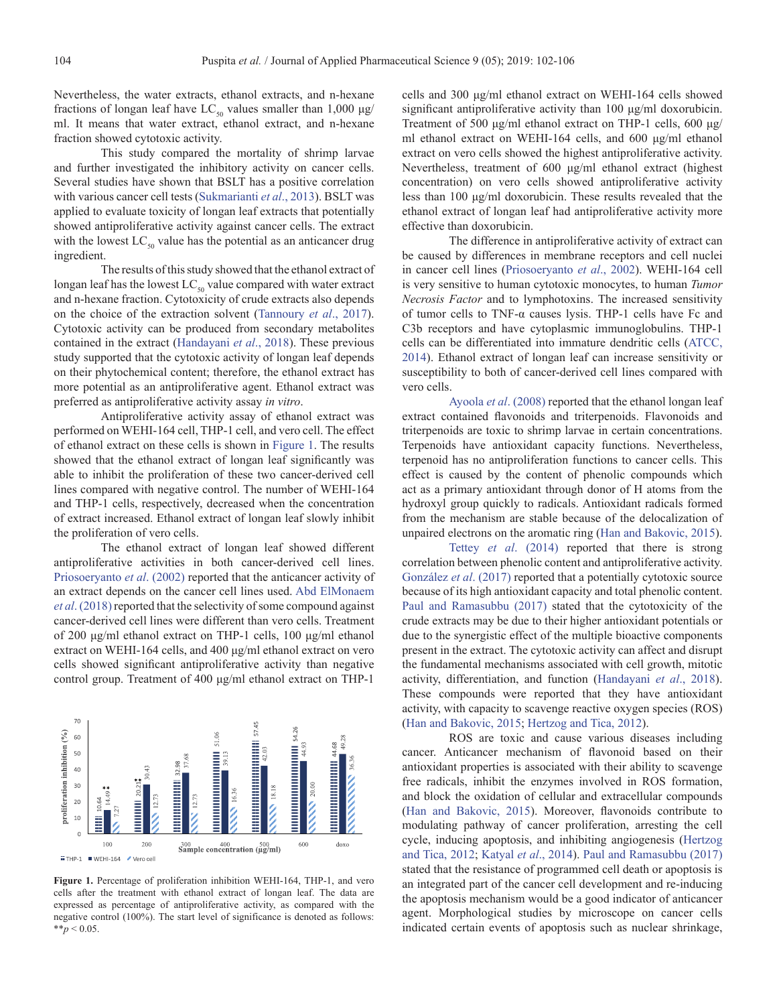Nevertheless, the water extracts, ethanol extracts, and n-hexane fractions of longan leaf have  $LC_{50}$  values smaller than 1,000  $\mu$ g/ ml. It means that water extract, ethanol extract, and n-hexane fraction showed cytotoxic activity.

This study compared the mortality of shrimp larvae and further investigated the inhibitory activity on cancer cells. Several studies have shown that BSLT has a positive correlation with various cancer cell tests ([Sukmarianti](#page-3-0) *et al*., 2013). BSLT was applied to evaluate toxicity of longan leaf extracts that potentially showed antiproliferative activity against cancer cells. The extract with the lowest  $LC_{50}$  value has the potential as an anticancer drug ingredient.

The results of this study showed that the ethanol extract of longan leaf has the lowest  $LC_{50}$  value compared with water extract and n-hexane fraction. Cytotoxicity of crude extracts also depends on the choice of the extraction solvent [\(Tannoury](#page-3-0) *et al*., 2017). Cytotoxic activity can be produced from secondary metabolites contained in the extract ([Handayani](#page-3-0) *et al*., 2018). These previous study supported that the cytotoxic activity of longan leaf depends on their phytochemical content; therefore, the ethanol extract has more potential as an antiproliferative agent. Ethanol extract was preferred as antiproliferative activity assay *in vitro*.

Antiproliferative activity assay of ethanol extract was performed on WEHI-164 cell, THP-1 cell, and vero cell. The effect of ethanol extract on these cells is shown in Figure 1. The results showed that the ethanol extract of longan leaf significantly was able to inhibit the proliferation of these two cancer-derived cell lines compared with negative control. The number of WEHI-164 and THP-1 cells, respectively, decreased when the concentration of extract increased. Ethanol extract of longan leaf slowly inhibit the proliferation of vero cells.

The ethanol extract of longan leaf showed different antiproliferative activities in both cancer-derived cell lines. [Priosoeryanto](#page-3-0) *et al*. (2002) reported that the anticancer activity of an extract depends on the cancer cell lines used. [Abd ElMonaem](#page-3-0) *et al*[. \(2018\)](#page-3-0) reported that the selectivity of some compound against cancer-derived cell lines were different than vero cells. Treatment of 200 μg/ml ethanol extract on THP-1 cells, 100 μg/ml ethanol extract on WEHI-164 cells, and 400 μg/ml ethanol extract on vero cells showed significant antiproliferative activity than negative control group. Treatment of 400 μg/ml ethanol extract on THP-1



**Figure 1.** Percentage of proliferation inhibition WEHI-164, THP-1, and vero cells after the treatment with ethanol extract of longan leaf. The data are expressed as percentage of antiproliferative activity, as compared with the negative control (100%). The start level of significance is denoted as follows:  $*^*p < 0.05$ .

cells and 300 μg/ml ethanol extract on WEHI-164 cells showed significant antiproliferative activity than 100 μg/ml doxorubicin. Treatment of 500 μg/ml ethanol extract on THP-1 cells, 600 μg/ ml ethanol extract on WEHI-164 cells, and 600 μg/ml ethanol extract on vero cells showed the highest antiproliferative activity. Nevertheless, treatment of 600 μg/ml ethanol extract (highest concentration) on vero cells showed antiproliferative activity less than 100 μg/ml doxorubicin. These results revealed that the ethanol extract of longan leaf had antiproliferative activity more effective than doxorubicin.

The difference in antiproliferative activity of extract can be caused by differences in membrane receptors and cell nuclei in cancer cell lines ([Priosoeryanto](#page-3-0) *et al*., 2002). WEHI-164 cell is very sensitive to human cytotoxic monocytes, to human *Tumor Necrosis Factor* and to lymphotoxins. The increased sensitivity of tumor cells to TNF-α causes lysis. THP-1 cells have Fc and C3b receptors and have cytoplasmic immunoglobulins. THP-1 cells can be differentiated into immature dendritic cells ([ATCC,](#page-3-0) [2014](#page-3-0)). Ethanol extract of longan leaf can increase sensitivity or susceptibility to both of cancer-derived cell lines compared with vero cells.

Ayoola *et al*[. \(2008\)](#page-3-0) reported that the ethanol longan leaf extract contained flavonoids and triterpenoids. Flavonoids and triterpenoids are toxic to shrimp larvae in certain concentrations. Terpenoids have antioxidant capacity functions. Nevertheless, terpenoid has no antiproliferation functions to cancer cells. This effect is caused by the content of phenolic compounds which act as a primary antioxidant through donor of H atoms from the hydroxyl group quickly to radicals. Antioxidant radicals formed from the mechanism are stable because of the delocalization of unpaired electrons on the aromatic ring [\(Han and Bakovic, 2015\)](#page-3-0).

Tettey *et al*[. \(2014\)](#page-3-0) reported that there is strong correlation between phenolic content and antiproliferative activity. [González](#page-3-0) *et al*. (2017) reported that a potentially cytotoxic source because of its high antioxidant capacity and total phenolic content. [Paul and Ramasubbu \(2017\)](#page-3-0) stated that the cytotoxicity of the crude extracts may be due to their higher antioxidant potentials or due to the synergistic effect of the multiple bioactive components present in the extract. The cytotoxic activity can affect and disrupt the fundamental mechanisms associated with cell growth, mitotic activity, differentiation, and function [\(Handayani](#page-3-0) *et al*., 2018). These compounds were reported that they have antioxidant activity, with capacity to scavenge reactive oxygen species (ROS) [\(Han and Bakovic, 2015;](#page-3-0) [Hertzog and Tica, 2012](#page-3-0)).

ROS are toxic and cause various diseases including cancer. Anticancer mechanism of flavonoid based on their antioxidant properties is associated with their ability to scavenge free radicals, inhibit the enzymes involved in ROS formation, and block the oxidation of cellular and extracellular compounds [\(Han and Bakovic, 2015](#page-3-0)). Moreover, flavonoids contribute to modulating pathway of cancer proliferation, arresting the cell cycle, inducing apoptosis, and inhibiting angiogenesis ([Hertzog](#page-3-0)  [and Tica, 2012](#page-3-0); [Katyal](#page-3-0) *et al*., 2014). [Paul and Ramasubbu \(2017\)](#page-3-0) stated that the resistance of programmed cell death or apoptosis is an integrated part of the cancer cell development and re-inducing the apoptosis mechanism would be a good indicator of anticancer agent. Morphological studies by microscope on cancer cells indicated certain events of apoptosis such as nuclear shrinkage,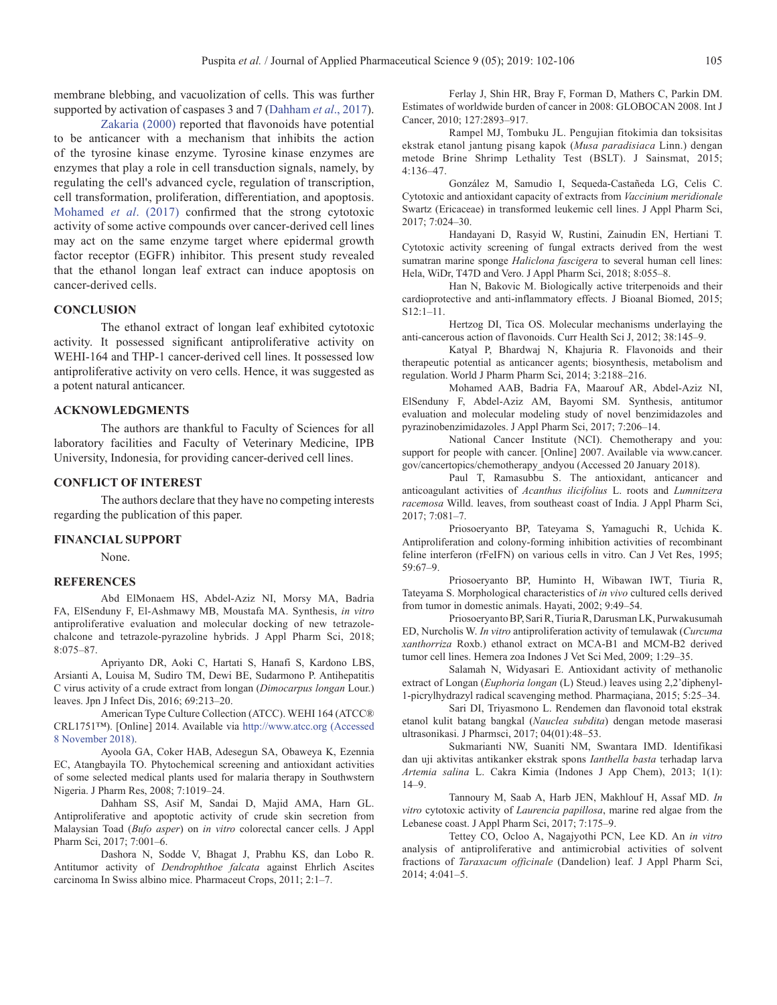<span id="page-3-0"></span>membrane blebbing, and vacuolization of cells. This was further supported by activation of caspases 3 and 7 (Dahham *et al*., 2017).

[Zakaria \(2000\)](#page-4-0) reported that flavonoids have potential to be anticancer with a mechanism that inhibits the action of the tyrosine kinase enzyme. Tyrosine kinase enzymes are enzymes that play a role in cell transduction signals, namely, by regulating the cell's advanced cycle, regulation of transcription, cell transformation, proliferation, differentiation, and apoptosis. Mohamed *et al*. (2017) confirmed that the strong cytotoxic activity of some active compounds over cancer-derived cell lines may act on the same enzyme target where epidermal growth factor receptor (EGFR) inhibitor. This present study revealed that the ethanol longan leaf extract can induce apoptosis on cancer-derived cells.

## **CONCLUSION**

The ethanol extract of longan leaf exhibited cytotoxic activity. It possessed significant antiproliferative activity on WEHI-164 and THP-1 cancer-derived cell lines. It possessed low antiproliferative activity on vero cells. Hence, it was suggested as a potent natural anticancer.

#### **ACKNOWLEDGMENTS**

The authors are thankful to Faculty of Sciences for all laboratory facilities and Faculty of Veterinary Medicine, IPB University, Indonesia, for providing cancer-derived cell lines.

## **CONFLICT OF INTEREST**

The authors declare that they have no competing interests regarding the publication of this paper.

#### **FINANCIAL SUPPORT**

None.

#### **REFERENCES**

Abd ElMonaem HS, Abdel-Aziz NI, Morsy MA, Badria FA, ElSenduny F, El-Ashmawy MB, Moustafa MA. Synthesis, *in vitro* antiproliferative evaluation and molecular docking of new tetrazolechalcone and tetrazole-pyrazoline hybrids. J Appl Pharm Sci, 2018; 8:075–87.

Apriyanto DR, Aoki C, Hartati S, Hanafi S, Kardono LBS, Arsianti A, Louisa M, Sudiro TM, Dewi BE, Sudarmono P. Antihepatitis C virus activity of a crude extract from longan (*Dimocarpus longan* Lour.) leaves. Jpn J Infect Dis, 2016; 69:213–20.

American Type Culture Collection (ATCC). WEHI 164 (ATCC® CRL1751™). [Online] 2014. Available via [http://www.atcc.org \(Accessed](http://www.atcc.org (Accessed 8 November 2018)) [8 November 2018\).](http://www.atcc.org (Accessed 8 November 2018))

Ayoola GA, Coker HAB, Adesegun SA, Obaweya K, Ezennia EC, Atangbayila TO. Phytochemical screening and antioxidant activities of some selected medical plants used for malaria therapy in Southwstern Nigeria. J Pharm Res, 2008; 7:1019–24.

Dahham SS, Asif M, Sandai D, Majid AMA, Harn GL. Antiproliferative and apoptotic activity of crude skin secretion from Malaysian Toad (*Bufo asper*) on *in vitro* colorectal cancer cells. J Appl Pharm Sci, 2017; 7:001–6.

Dashora N, Sodde V, Bhagat J, Prabhu KS, dan Lobo R. Antitumor activity of *Dendrophthoe falcata* against Ehrlich Ascites carcinoma In Swiss albino mice. Pharmaceut Crops, 2011; 2:1–7.

Ferlay J, Shin HR, Bray F, Forman D, Mathers C, Parkin DM. Estimates of worldwide burden of cancer in 2008: GLOBOCAN 2008. Int J Cancer, 2010; 127:2893–917.

Rampel MJ, Tombuku JL. Pengujian fitokimia dan toksisitas ekstrak etanol jantung pisang kapok (*Musa paradisiaca* Linn.) dengan metode Brine Shrimp Lethality Test (BSLT). J Sainsmat, 2015; 4:136–47.

González M, Samudio I, Sequeda-Castañeda LG, Celis C. Cytotoxic and antioxidant capacity of extracts from *Vaccinium meridionale* Swartz (Ericaceae) in transformed leukemic cell lines. J Appl Pharm Sci, 2017; 7:024–30.

Handayani D, Rasyid W, Rustini, Zainudin EN, Hertiani T. Cytotoxic activity screening of fungal extracts derived from the west sumatran marine sponge *Haliclona fascigera* to several human cell lines: Hela, WiDr, T47D and Vero. J Appl Pharm Sci, 2018; 8:055–8.

Han N, Bakovic M. Biologically active triterpenoids and their cardioprotective and anti-inflammatory effects. J Bioanal Biomed, 2015; S12:1–11.

Hertzog DI, Tica OS. Molecular mechanisms underlaying the anti-cancerous action of flavonoids. Curr Health Sci J, 2012; 38:145–9.

Katyal P, Bhardwaj N, Khajuria R. Flavonoids and their therapeutic potential as anticancer agents; biosynthesis, metabolism and regulation. World J Pharm Pharm Sci, 2014; 3:2188–216.

Mohamed AAB, Badria FA, Maarouf AR, Abdel-Aziz NI, ElSenduny F, Abdel-Aziz AM, Bayomi SM. Synthesis, antitumor evaluation and molecular modeling study of novel benzimidazoles and pyrazinobenzimidazoles. J Appl Pharm Sci, 2017; 7:206–14.

National Cancer Institute (NCI). Chemotherapy and you: support for people with cancer. [Online] 2007. Available via www.cancer. gov/cancertopics/chemotherapy\_andyou (Accessed 20 January 2018).

Paul T, Ramasubbu S. The antioxidant, anticancer and anticoagulant activities of *Acanthus ilicifolius* L. roots and *Lumnitzera racemosa* Willd. leaves, from southeast coast of India. J Appl Pharm Sci, 2017; 7:081–7.

Priosoeryanto BP, Tateyama S, Yamaguchi R, Uchida K. Antiproliferation and colony-forming inhibition activities of recombinant feline interferon (rFeIFN) on various cells in vitro. Can J Vet Res, 1995; 59:67–9.

Priosoeryanto BP, Huminto H, Wibawan IWT, Tiuria R, Tateyama S. Morphological characteristics of *in vivo* cultured cells derived from tumor in domestic animals. Hayati, 2002; 9:49–54.

Priosoeryanto BP, Sari R, Tiuria R, Darusman LK, Purwakusumah ED, Nurcholis W. *In vitro* antiproliferation activity of temulawak (*Curcuma xanthorriza* Roxb.) ethanol extract on MCA-B1 and MCM-B2 derived tumor cell lines. Hemera zoa Indones J Vet Sci Med, 2009; 1:29–35.

Salamah N, Widyasari E. Antioxidant activity of methanolic extract of Longan (*Euphoria longan* (L) Steud.) leaves using 2,2'diphenyl-1-picrylhydrazyl radical scavenging method. Pharmaçiana, 2015; 5:25–34.

Sari DI, Triyasmono L. Rendemen dan flavonoid total ekstrak etanol kulit batang bangkal (*Nauclea subdita*) dengan metode maserasi ultrasonikasi. J Pharmsci, 2017; 04(01):48–53.

Sukmarianti NW, Suaniti NM, Swantara IMD. Identifikasi dan uji aktivitas antikanker ekstrak spons *Ianthella basta* terhadap larva *Artemia salina* L. Cakra Kimia (Indones J App Chem), 2013; 1(1): 14–9.

Tannoury M, Saab A, Harb JEN, Makhlouf H, Assaf MD. *In vitro* cytotoxic activity of *Laurencia papillosa*, marine red algae from the Lebanese coast. J Appl Pharm Sci, 2017; 7:175–9.

Tettey CO, Ocloo A, Nagajyothi PCN, Lee KD. An *in vitro* analysis of antiproliferative and antimicrobial activities of solvent fractions of *Taraxacum officinale* (Dandelion) leaf. J Appl Pharm Sci, 2014; 4:041–5.